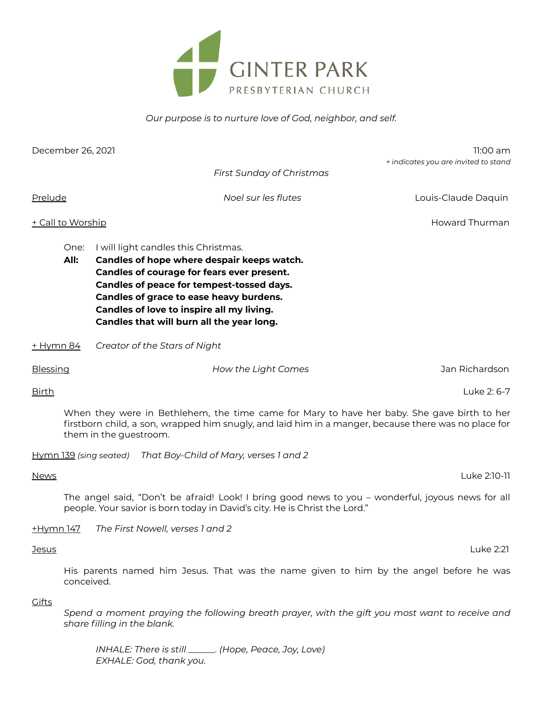

*Our purpose is to nurture love of God, neighbor, and self.*

| December 26, 2021                                                                                                                                                                                                             |                                                                                                                                                                                                                                                                                                                            |                                                                                                                                                                                 | $11:00$ am<br>+ indicates you are invited to stand |  |
|-------------------------------------------------------------------------------------------------------------------------------------------------------------------------------------------------------------------------------|----------------------------------------------------------------------------------------------------------------------------------------------------------------------------------------------------------------------------------------------------------------------------------------------------------------------------|---------------------------------------------------------------------------------------------------------------------------------------------------------------------------------|----------------------------------------------------|--|
|                                                                                                                                                                                                                               |                                                                                                                                                                                                                                                                                                                            | First Sunday of Christmas                                                                                                                                                       |                                                    |  |
| Prelude                                                                                                                                                                                                                       |                                                                                                                                                                                                                                                                                                                            | Noel sur les flutes                                                                                                                                                             | Louis-Claude Daquin                                |  |
| Howard Thurman<br>+ Call to Worship                                                                                                                                                                                           |                                                                                                                                                                                                                                                                                                                            |                                                                                                                                                                                 |                                                    |  |
| All:                                                                                                                                                                                                                          | I will light candles this Christmas.<br>One:<br>Candles of hope where despair keeps watch.<br>Candles of courage for fears ever present.<br>Candles of peace for tempest-tossed days.<br>Candles of grace to ease heavy burdens.<br>Candles of love to inspire all my living.<br>Candles that will burn all the year long. |                                                                                                                                                                                 |                                                    |  |
| $+$ Hymn 84                                                                                                                                                                                                                   |                                                                                                                                                                                                                                                                                                                            | Creator of the Stars of Night                                                                                                                                                   |                                                    |  |
| Blessing                                                                                                                                                                                                                      |                                                                                                                                                                                                                                                                                                                            | How the Light Comes                                                                                                                                                             | Jan Richardson                                     |  |
| <b>Birth</b>                                                                                                                                                                                                                  |                                                                                                                                                                                                                                                                                                                            |                                                                                                                                                                                 | Luke 2: 6-7                                        |  |
| When they were in Bethlehem, the time came for Mary to have her baby. She gave birth to her<br>firstborn child, a son, wrapped him snugly, and laid him in a manger, because there was no place for<br>them in the guestroom. |                                                                                                                                                                                                                                                                                                                            |                                                                                                                                                                                 |                                                    |  |
|                                                                                                                                                                                                                               |                                                                                                                                                                                                                                                                                                                            | Hymn 139 (sing seated) That Boy-Child of Mary, verses 1 and 2                                                                                                                   |                                                    |  |
| <b>News</b>                                                                                                                                                                                                                   |                                                                                                                                                                                                                                                                                                                            |                                                                                                                                                                                 | Luke 2:10-11                                       |  |
|                                                                                                                                                                                                                               |                                                                                                                                                                                                                                                                                                                            | The angel said, "Don't be afraid! Look! I bring good news to you - wonderful, joyous news for all<br>people. Your savior is born today in David's city. He is Christ the Lord." |                                                    |  |
| <u>+Hymn 147</u>                                                                                                                                                                                                              |                                                                                                                                                                                                                                                                                                                            | The First Nowell, verses 1 and 2                                                                                                                                                |                                                    |  |
| <u>Jesus</u>                                                                                                                                                                                                                  |                                                                                                                                                                                                                                                                                                                            |                                                                                                                                                                                 | Luke 2:21                                          |  |
|                                                                                                                                                                                                                               | His parents named him Jesus. That was the name given to him by the angel before he was<br>conceived.                                                                                                                                                                                                                       |                                                                                                                                                                                 |                                                    |  |

**Gifts** 

*Spend a moment praying the following breath prayer, with the gift you most want to receive and share filling in the blank.*

*INHALE: There is still \_\_\_\_\_\_. (Hope, Peace, Joy, Love) EXHALE: God, thank you.*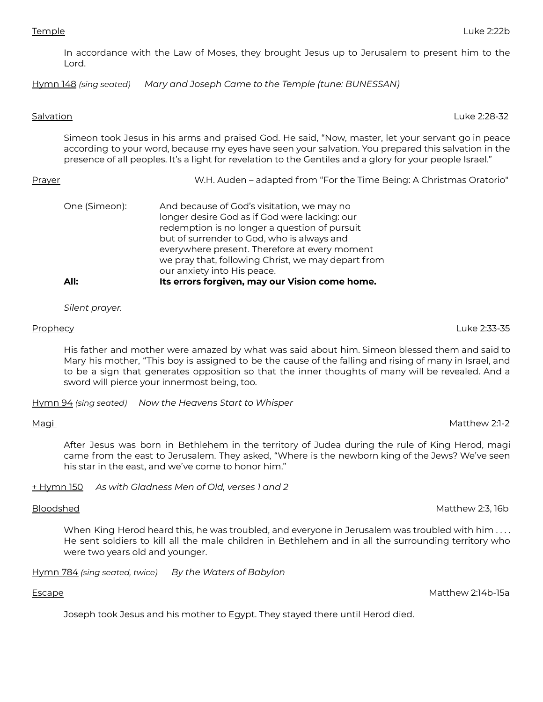In accordance with the Law of Moses, they brought Jesus up to Jerusalem to present him to the Lord.

Hymn 148 *(sing seated) Mary and Joseph Came to the Temple (tune: BUNESSAN)*

### Salvation Luke 2:28-32

Simeon took Jesus in his arms and praised God. He said, "Now, master, let your servant go in peace according to your word, because my eyes have seen your salvation. You prepared this salvation in the presence of all peoples. It's a light for revelation to the Gentiles and a glory for your people Israel."

| One (Simeon): | And because of God's visitation, we may no<br>longer desire God as if God were lacking: our<br>redemption is no longer a question of pursuit |
|---------------|----------------------------------------------------------------------------------------------------------------------------------------------|
|               | but of surrender to God, who is always and<br>everywhere present. Therefore at every moment                                                  |
|               | we pray that, following Christ, we may depart from<br>our anxiety into His peace.                                                            |
| All:          | Its errors forgiven, may our Vision come home.                                                                                               |

Prayer W.H. Auden – adapted from "For the Time Being: A Christmas Oratorio"

*Silent prayer.*

His father and mother were amazed by what was said about him. Simeon blessed them and said to Mary his mother, "This boy is assigned to be the cause of the falling and rising of many in Israel, and to be a sign that generates opposition so that the inner thoughts of many will be revealed. And a sword will pierce your innermost being, too.

Hymn 94 *(sing seated) Now the Heavens Start to Whisper*

# Magi Matthew 2:1-2

After Jesus was born in Bethlehem in the territory of Judea during the rule of King Herod, magi came from the east to Jerusalem. They asked, "Where is the newborn king of the Jews? We've seen his star in the east, and we've come to honor him."

+ Hymn 150 *As with Gladness Men of Old, verses 1 and 2*

## Bloodshed Matthew 2:3, 16b

When King Herod heard this, he was troubled, and everyone in Jerusalem was troubled with him . . . . He sent soldiers to kill all the male children in Bethlehem and in all the surrounding territory who were two years old and younger.

Hymn 784 *(sing seated, twice) By the Waters of Babylon*

Escape Matthew 2:14b-15a

Joseph took Jesus and his mother to Egypt. They stayed there until Herod died.

Prophecy Luke 2:33-35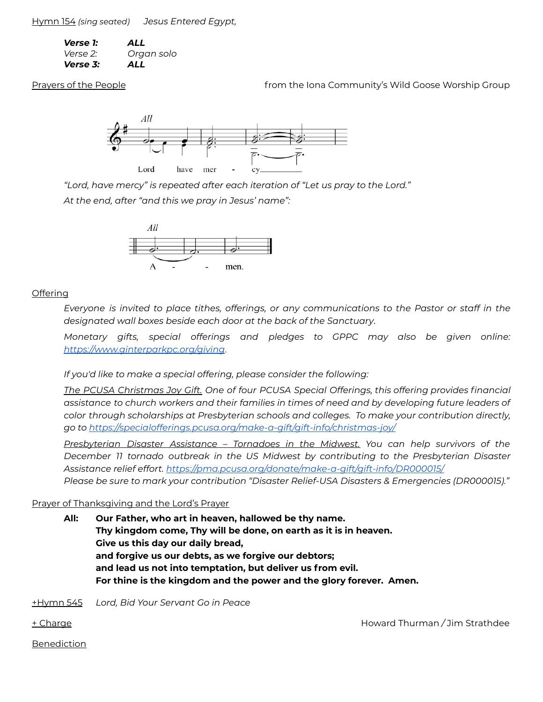Hymn 154 *(sing seated) Jesus Entered Egypt,*

| Verse 1: | ALL        |
|----------|------------|
| Verse 2: | Organ solo |
| Verse 3: | ALL        |

Prayers of the People **Frage and Community's Wild Goose Worship Group** from the Iona Community's Wild Goose Worship Group



*"Lord, have mercy" is repeated after each iteration of "Let us pray to the Lord." At the end, after "and this we pray in Jesus' name":*



# **Offering**

*Everyone is invited to place tithes, offerings, or any communications to the Pastor or staff in the designated wall boxes beside each door at the back of the Sanctuary*.

*Monetary gifts, special offerings and pledges to GPPC may also be given online: https:/ [www.ginterparkpc.org/giving](https://www.ginterparkpc.org/giving)*.

*If you'd like to make a special offering, please consider the following:*

*The PCUSA Christmas Joy Gift. One of four PCUSA Special Offerings, this offering provides financial assistance to church workers and their families in times of need and by developing future leaders of color through scholarships at Presbyterian schools and colleges. To make your contribution directly, go to https:/ [specialofferings.pcusa.org/make-a-gift/gift-info/christmas-joy/](https://specialofferings.pcusa.org/make-a-gift/gift-info/christmas-joy/)*

*Presbyterian Disaster Assistance – Tornadoes in the Midwest. You can help survivors of the December 11 tornado outbreak in the US Midwest by contributing to the Presbyterian Disaster Assistance relief effort. https:/ [pma.pcusa.org/donate/make-a-gift/gift-info/DR000015/](https://pma.pcusa.org/donate/make-a-gift/gift-info/DR000015/) Please be sure to mark your contribution "Disaster Relief-USA Disasters & Emergencies (DR000015)."*

# Prayer of Thanksgiving and the Lord's Prayer

**All: Our Father, who art in heaven, hallowed be thy name. Thy kingdom come, Thy will be done, on earth as it is in heaven. Give us this day our daily bread, and forgive us our debts, as we forgive our debtors; and lead us not into temptation, but deliver us from evil. For thine is the kingdom and the power and the glory forever. Amen.**

+Hymn 545 *Lord, Bid Your Servant Go in Peace*

+ Charge Howard Thurman */* Jim Strathdee

Benediction